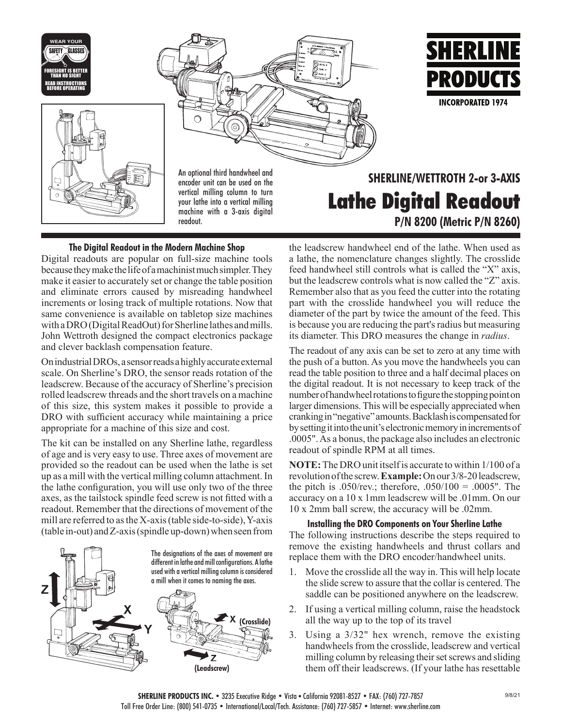





encoder unit can be used on the vertical milling column to turn your lathe into a vertical milling machine with a 3-axis digital readout.

# **SHERLINE/WETTROTH 2-or 3-AXIS Lathe Digital Readout P/N 8200 (Metric P/N 8260)**

**SHERLINE** 

PRODUCTS

**INCORPORATED 1974** 

## **The Digital Readout in the Modern Machine Shop**

Digital readouts are popular on full-size machine tools because they make the life of a machinist much simpler. They make it easier to accurately set or change the table position and eliminate errors caused by misreading handwheel increments or losing track of multiple rotations. Now that same convenience is available on tabletop size machines with a DRO (Digital ReadOut) for Sherline lathes and mills. John Wettroth designed the compact electronics package and clever backlash compensation feature.

On industrial DROs, a sensor reads a highly accurate external scale. On Sherline's DRO, the sensor reads rotation of the leadscrew. Because of the accuracy of Sherline's precision rolled leadscrew threads and the short travels on a machine of this size, this system makes it possible to provide a DRO with sufficient accuracy while maintaining a price appropriate for a machine of this size and cost.

The kit can be installed on any Sherline lathe, regardless of age and is very easy to use. Three axes of movement are provided so the readout can be used when the lathe is set up as a mill with the vertical milling column attachment. In the lathe configuration, you will use only two of the three axes, as the tailstock spindle feed screw is not fitted with a readout. Remember that the directions of movement of the mill are referred to as the X-axis (table side-to-side), Y-axis (table in-out) and Z-axis (spindle up-down) when seen from



the leadscrew handwheel end of the lathe. When used as a lathe, the nomenclature changes slightly. The crosslide feed handwheel still controls what is called the "X" axis, but the leadscrew controls what is now called the "Z" axis. Remember also that as you feed the cutter into the rotating part with the crosslide handwheel you will reduce the diameter of the part by twice the amount of the feed. This is because you are reducing the part's radius but measuring its diameter. This DRO measures the change in *radius*.

The readout of any axis can be set to zero at any time with the push of a button. As you move the handwheels you can read the table position to three and a half decimal places on the digital readout. It is not necessary to keep track of the number of handwheel rotations to figure the stopping point on larger dimensions. This will be especially appreciated when cranking in "negative" amounts. Backlash is compensated for by setting it into the unit's electronic memory in increments of .0005". As a bonus, the package also includes an electronic readout of spindle RPM at all times.

**NOTE:** The DRO unit itself is accurate to within 1/100 of a revolution of the screw. **Example:** On our 3/8-20 leadscrew, the pitch is .050/rev.; therefore, .050/100 = .0005". The accuracy on a 10 x 1mm leadscrew will be .01mm. On our 10 x 2mm ball screw, the accuracy will be .02mm.

#### **Installing the DRO Components on Your Sherline Lathe**

The following instructions describe the steps required to remove the existing handwheels and thrust collars and replace them with the DRO encoder/handwheel units.

- 1. Move the crosslide all the way in. This will help locate the slide screw to assure that the collar is centered. The saddle can be positioned anywhere on the leadscrew.
- 2. If using a vertical milling column, raise the headstock all the way up to the top of its travel
- 3. Using a 3/32" hex wrench, remove the existing handwheels from the crosslide, leadscrew and vertical milling column by releasing their set screws and sliding them off their leadscrews. (If your lathe has resettable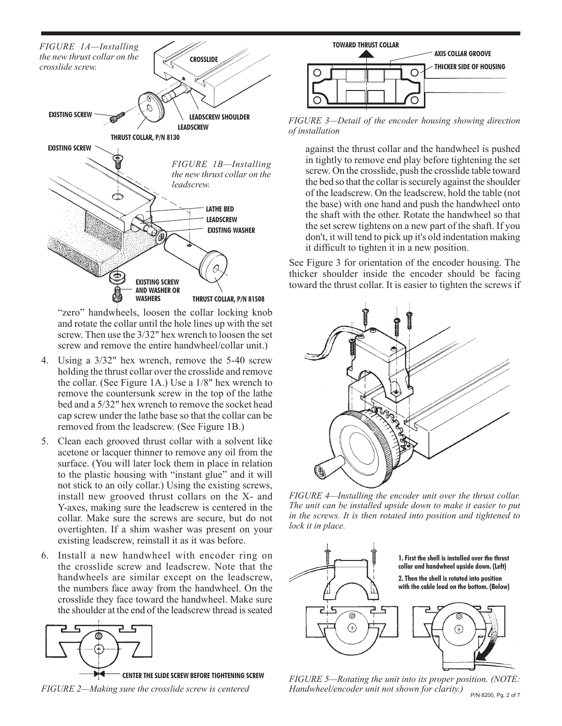

"zero" handwheels, loosen the collar locking knob and rotate the collar until the hole lines up with the set screw. Then use the 3/32" hex wrench to loosen the set screw and remove the entire handwheel/collar unit.)

- 4. Using a 3/32" hex wrench, remove the 5-40 screw holding the thrust collar over the crosslide and remove the collar. (See Figure 1A.) Use a 1/8" hex wrench to remove the countersunk screw in the top of the lathe bed and a 5/32" hex wrench to remove the socket head cap screw under the lathe base so that the collar can be removed from the leadscrew. (See Figure 1B.)
- 5. Clean each grooved thrust collar with a solvent like acetone or lacquer thinner to remove any oil from the surface. (You will later lock them in place in relation to the plastic housing with "instant glue" and it will not stick to an oily collar.) Using the existing screws, install new grooved thrust collars on the X- and Y-axes, making sure the leadscrew is centered in the collar. Make sure the screws are secure, but do not overtighten. If a shim washer was present on your existing leadscrew, reinstall it as it was before.
- 6. Install a new handwheel with encoder ring on the crosslide screw and leadscrew. Note that the handwheels are similar except on the leadscrew, the numbers face away from the handwheel. On the crosslide they face toward the handwheel. Make sure the shoulder at the end of the leadscrew thread is seated



*FIGURE 2—Making sure the crosslide screw is centered*



*FIGURE 3—Detail of the encoder housing showing direction of installation*

against the thrust collar and the handwheel is pushed in tightly to remove end play before tightening the set screw. On the crosslide, push the crosslide table toward the bed so that the collar is securely against the shoulder of the leadscrew. On the leadscrew, hold the table (not the base) with one hand and push the handwheel onto the shaft with the other. Rotate the handwheel so that the set screw tightens on a new part of the shaft. If you don't, it will tend to pick up it's old indentation making it difficult to tighten it in a new position.

See Figure 3 for orientation of the encoder housing. The thicker shoulder inside the encoder should be facing toward the thrust collar. It is easier to tighten the screws if



*FIGURE 4—Installing the encoder unit over the thrust collar. The unit can be installed upside down to make it easier to put in the screws. It is then rotated into position and tightened to lock it in place.*



P/N 8200, Pg. 2 of 7 *FIGURE 5—Rotating the unit into its proper position. (NOTE: Handwheel/encoder unit not shown for clarity.)*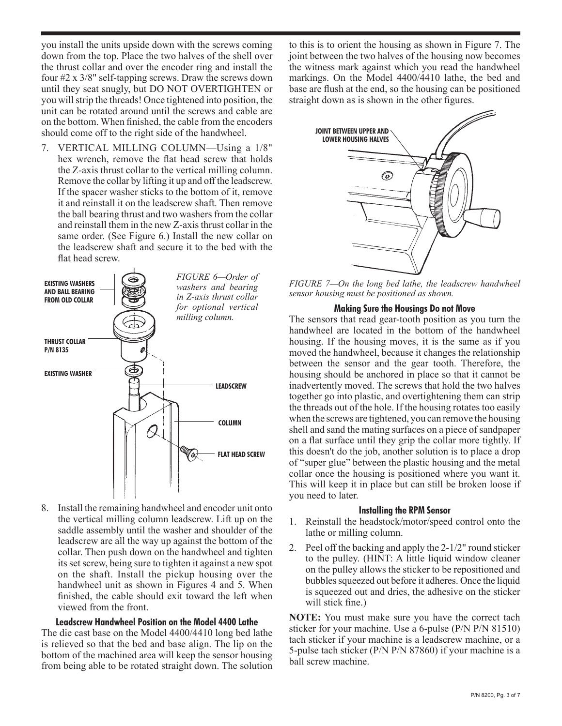you install the units upside down with the screws coming down from the top. Place the two halves of the shell over the thrust collar and over the encoder ring and install the four #2 x 3/8" self-tapping screws. Draw the screws down until they seat snugly, but DO NOT OVERTIGHTEN or you will strip the threads! Once tightened into position, the unit can be rotated around until the screws and cable are on the bottom. When finished, the cable from the encoders should come off to the right side of the handwheel.

7. VERTICAL MILLING COLUMN—Using a 1/8" hex wrench, remove the flat head screw that holds the Z-axis thrust collar to the vertical milling column. Remove the collar by lifting it up and off the leadscrew. If the spacer washer sticks to the bottom of it, remove it and reinstall it on the leadscrew shaft. Then remove the ball bearing thrust and two washers from the collar and reinstall them in the new Z-axis thrust collar in the same order. (See Figure 6.) Install the new collar on the leadscrew shaft and secure it to the bed with the flat head screw.



8. Install the remaining handwheel and encoder unit onto the vertical milling column leadscrew. Lift up on the saddle assembly until the washer and shoulder of the leadscrew are all the way up against the bottom of the collar. Then push down on the handwheel and tighten its set screw, being sure to tighten it against a new spot on the shaft. Install the pickup housing over the handwheel unit as shown in Figures 4 and 5. When finished, the cable should exit toward the left when viewed from the front.

#### **Leadscrew Handwheel Position on the Model 4400 Lathe**

The die cast base on the Model 4400/4410 long bed lathe is relieved so that the bed and base align. The lip on the bottom of the machined area will keep the sensor housing from being able to be rotated straight down. The solution to this is to orient the housing as shown in Figure 7. The joint between the two halves of the housing now becomes the witness mark against which you read the handwheel markings. On the Model 4400/4410 lathe, the bed and base are flush at the end, so the housing can be positioned straight down as is shown in the other figures.



*FIGURE 7—On the long bed lathe, the leadscrew handwheel sensor housing must be positioned as shown.*

#### **Making Sure the Housings Do not Move**

The sensors that read gear-tooth position as you turn the handwheel are located in the bottom of the handwheel housing. If the housing moves, it is the same as if you moved the handwheel, because it changes the relationship between the sensor and the gear tooth. Therefore, the housing should be anchored in place so that it cannot be inadvertently moved. The screws that hold the two halves together go into plastic, and overtightening them can strip the threads out of the hole. If the housing rotates too easily when the screws are tightened, you can remove the housing shell and sand the mating surfaces on a piece of sandpaper on a flat surface until they grip the collar more tightly. If this doesn't do the job, another solution is to place a drop of "super glue" between the plastic housing and the metal collar once the housing is positioned where you want it. This will keep it in place but can still be broken loose if you need to later.

#### **Installing the RPM Sensor**

- 1. Reinstall the headstock/motor/speed control onto the lathe or milling column.
- 2. Peel off the backing and apply the 2-1/2" round sticker to the pulley. (HINT: A little liquid window cleaner on the pulley allows the sticker to be repositioned and bubbles squeezed out before it adheres. Once the liquid is squeezed out and dries, the adhesive on the sticker will stick fine.)

**NOTE:** You must make sure you have the correct tach sticker for your machine. Use a 6-pulse (P/N P/N 81510) tach sticker if your machine is a leadscrew machine, or a 5-pulse tach sticker (P/N P/N 87860) if your machine is a ball screw machine.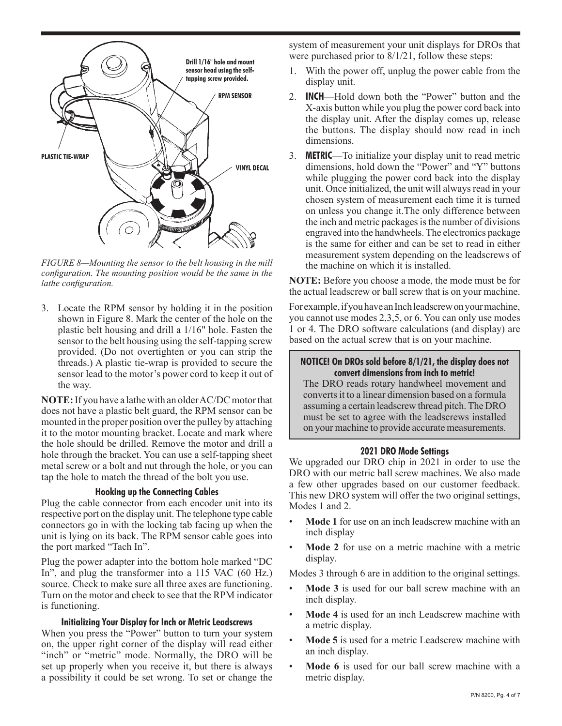

*FIGURE 8—Mounting the sensor to the belt housing in the mill configuration. The mounting position would be the same in the lathe configuration.*

3. Locate the RPM sensor by holding it in the position shown in Figure 8. Mark the center of the hole on the plastic belt housing and drill a 1/16" hole. Fasten the sensor to the belt housing using the self-tapping screw provided. (Do not overtighten or you can strip the threads.) A plastic tie-wrap is provided to secure the sensor lead to the motor's power cord to keep it out of the way.

**NOTE:** If you have a lathe with an older AC/DC motor that does not have a plastic belt guard, the RPM sensor can be mounted in the proper position over the pulley by attaching it to the motor mounting bracket. Locate and mark where the hole should be drilled. Remove the motor and drill a hole through the bracket. You can use a self-tapping sheet metal screw or a bolt and nut through the hole, or you can tap the hole to match the thread of the bolt you use.

#### **Hooking up the Connecting Cables**

Plug the cable connector from each encoder unit into its respective port on the display unit. The telephone type cable connectors go in with the locking tab facing up when the unit is lying on its back. The RPM sensor cable goes into the port marked "Tach In".

Plug the power adapter into the bottom hole marked "DC In", and plug the transformer into a 115 VAC (60 Hz.) source. Check to make sure all three axes are functioning. Turn on the motor and check to see that the RPM indicator is functioning.

#### **Initializing Your Display for Inch or Metric Leadscrews**

When you press the "Power" button to turn your system on, the upper right corner of the display will read either "inch" or "metric" mode. Normally, the DRO will be set up properly when you receive it, but there is always a possibility it could be set wrong. To set or change the

system of measurement your unit displays for DROs that were purchased prior to 8/1/21, follow these steps:

- 1. With the power off, unplug the power cable from the display unit.
- 2. **INCH**—Hold down both the "Power" button and the X-axis button while you plug the power cord back into the display unit. After the display comes up, release the buttons. The display should now read in inch dimensions.
- 3. **METRIC**—To initialize your display unit to read metric dimensions, hold down the "Power" and "Y" buttons while plugging the power cord back into the display unit. Once initialized, the unit will always read in your chosen system of measurement each time it is turned on unless you change it.The only difference between the inch and metric packages is the number of divisions engraved into the handwheels. The electronics package is the same for either and can be set to read in either measurement system depending on the leadscrews of the machine on which it is installed.

**NOTE:** Before you choose a mode, the mode must be for the actual leadscrew or ball screw that is on your machine.

For example, if you have an Inch leadscrew on your machine, you cannot use modes 2,3,5, or 6. You can only use modes 1 or 4. The DRO software calculations (and display) are based on the actual screw that is on your machine.

## **NOTICE! On DROs sold before 8/1/21, the display does not convert dimensions from inch to metric!**

The DRO reads rotary handwheel movement and converts it to a linear dimension based on a formula assuming a certain leadscrew thread pitch. The DRO must be set to agree with the leadscrews installed on your machine to provide accurate measurements.

#### **2021 DRO Mode Settings**

We upgraded our DRO chip in 2021 in order to use the DRO with our metric ball screw machines. We also made a few other upgrades based on our customer feedback. This new DRO system will offer the two original settings, Modes 1 and 2.

- **Mode 1** for use on an inch leadscrew machine with an inch display
- Mode 2 for use on a metric machine with a metric display.

Modes 3 through 6 are in addition to the original settings.

- **Mode 3** is used for our ball screw machine with an inch display.
- **Mode 4** is used for an inch Leadscrew machine with a metric display.
- Mode 5 is used for a metric Leadscrew machine with an inch display.
- **Mode 6** is used for our ball screw machine with a metric display.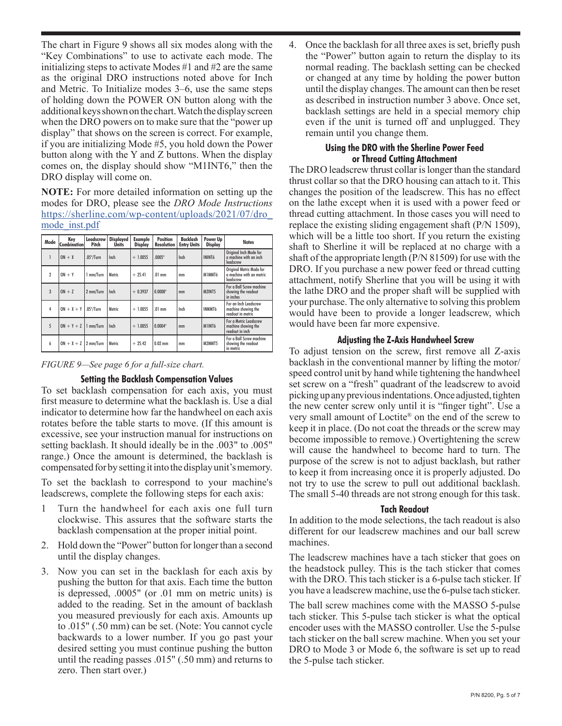The chart in Figure 9 shows all six modes along with the "Key Combinations" to use to activate each mode. The initializing steps to activate Modes #1 and #2 are the same as the original DRO instructions noted above for Inch and Metric. To Initialize modes 3–6, use the same steps of holding down the POWER ON button along with the additional keys shown on the chart. Watch the display screen when the DRO powers on to make sure that the "power up display" that shows on the screen is correct. For example, if you are initializing Mode #5, you hold down the Power button along with the Y and Z buttons. When the display comes on, the display should show "M1INT6," then the DRO display will come on.

**NOTE:** For more detailed information on setting up the modes for DRO, please see the *DRO Mode Instructions* [https://sherline.com/wp-content/uploads/2021/07/dro\\_](https://sherline.com/wp-content/uploads/2021/07/dro_mode_inst.pdf) [mode\\_inst.pdf](https://sherline.com/wp-content/uploads/2021/07/dro_mode_inst.pdf)

|                | Kev                      | Leadscrew   | <b>Displayed</b> | Example        | <b>Position</b>   | Backlash           | Power Up       |                                                                   |
|----------------|--------------------------|-------------|------------------|----------------|-------------------|--------------------|----------------|-------------------------------------------------------------------|
| Mode           | Combination              | Pitch       | <b>Units</b>     | <b>Display</b> | <b>Resolution</b> | <b>Entry Units</b> | <b>Display</b> | <b>Notes</b>                                                      |
|                | $ON + X$                 | .05" / Turn | Inch             | $+1.0055$      | .0005"            | Inch               | ININT6         | Original Inch Mode for<br>a machine with an inch<br>leadscrew     |
| $\overline{2}$ | $ON + Y$                 | 1 mm/Turn   | Metric           | $+ 25.41$      | $.01$ mm          | mm                 | M1MMT6         | Original Metric Mode for<br>a machine with an metric<br>leadscrew |
| $\overline{3}$ | $ON + Z$                 | 2 mm/Turn   | Inch             | $+0.3937$      | 0.0008"           | mm                 | M2INT5         | For a Ball Screw machine<br>showing the readout<br>in inches      |
| 4              | $ON + X + Y$ .05"/Turn   |             | Metric           | $+1.0055$      | $.01$ mm          | Inch               | INMMT6         | For an Inch Leadscrew<br>machine showing the<br>readout in metric |
| 5              | $ON + Y + Z$   1 mm/Turn |             | Inch             | $+1.0055$      | 0.0004"           | mm                 | M1INT6         | For a Metric Leadscrew<br>machine showing the<br>readout in inch  |
| 6              | $ON + X + Z$   2 mm/Turn |             | Metric           | $+ 25.42$      | $0.02$ mm         | mm                 | M2MMT5         | For a Ball Screw machine<br>showing the readout<br>in metric      |

*FIGURE 9—See page 6 for a full-size chart.* 

## **Setting the Backlash Compensation Values**

To set backlash compensation for each axis, you must first measure to determine what the backlash is. Use a dial indicator to determine how far the handwheel on each axis rotates before the table starts to move. (If this amount is excessive, see your instruction manual for instructions on setting backlash. It should ideally be in the .003" to .005" range.) Once the amount is determined, the backlash is compensated for by setting it into the display unit's memory.

To set the backlash to correspond to your machine's leadscrews, complete the following steps for each axis:

- 1 Turn the handwheel for each axis one full turn clockwise. This assures that the software starts the backlash compensation at the proper initial point.
- 2. Hold down the "Power" button for longer than a second until the display changes.
- 3. Now you can set in the backlash for each axis by pushing the button for that axis. Each time the button is depressed, .0005" (or .01 mm on metric units) is added to the reading. Set in the amount of backlash you measured previously for each axis. Amounts up to .015" (.50 mm) can be set. (Note: You cannot cycle backwards to a lower number. If you go past your desired setting you must continue pushing the button until the reading passes .015" (.50 mm) and returns to zero. Then start over.)

4. Once the backlash for all three axes is set, briefly push the "Power" button again to return the display to its normal reading. The backlash setting can be checked or changed at any time by holding the power button until the display changes. The amount can then be reset as described in instruction number 3 above. Once set, backlash settings are held in a special memory chip even if the unit is turned off and unplugged. They remain until you change them.

#### **Using the DRO with the Sherline Power Feed or Thread Cutting Attachment**

The DRO leadscrew thrust collar is longer than the standard thrust collar so that the DRO housing can attach to it. This changes the position of the leadscrew. This has no effect on the lathe except when it is used with a power feed or thread cutting attachment. In those cases you will need to replace the existing sliding engagement shaft (P/N 1509), which will be a little too short. If you return the existing shaft to Sherline it will be replaced at no charge with a shaft of the appropriate length (P/N 81509) for use with the DRO. If you purchase a new power feed or thread cutting attachment, notify Sherline that you will be using it with the lathe DRO and the proper shaft will be supplied with your purchase. The only alternative to solving this problem would have been to provide a longer leadscrew, which would have been far more expensive.

## **Adjusting the Z-Axis Handwheel Screw**

To adjust tension on the screw, first remove all Z-axis backlash in the conventional manner by lifting the motor/ speed control unit by hand while tightening the handwheel set screw on a "fresh" quadrant of the leadscrew to avoid picking up any previous indentations. Once adjusted, tighten the new center screw only until it is "finger tight". Use a very small amount of Loctite® on the end of the screw to keep it in place. (Do not coat the threads or the screw may become impossible to remove.) Overtightening the screw will cause the handwheel to become hard to turn. The purpose of the screw is not to adjust backlash, but rather to keep it from increasing once it is properly adjusted. Do not try to use the screw to pull out additional backlash. The small 5-40 threads are not strong enough for this task.

## **Tach Readout**

In addition to the mode selections, the tach readout is also different for our leadscrew machines and our ball screw machines.

The leadscrew machines have a tach sticker that goes on the headstock pulley. This is the tach sticker that comes with the DRO. This tach sticker is a 6-pulse tach sticker. If you have a leadscrew machine, use the 6-pulse tach sticker.

The ball screw machines come with the MASSO 5-pulse tach sticker. This 5-pulse tach sticker is what the optical encoder uses with the MASSO controller. Use the 5-pulse tach sticker on the ball screw machine. When you set your DRO to Mode 3 or Mode 6, the software is set up to read the 5-pulse tach sticker.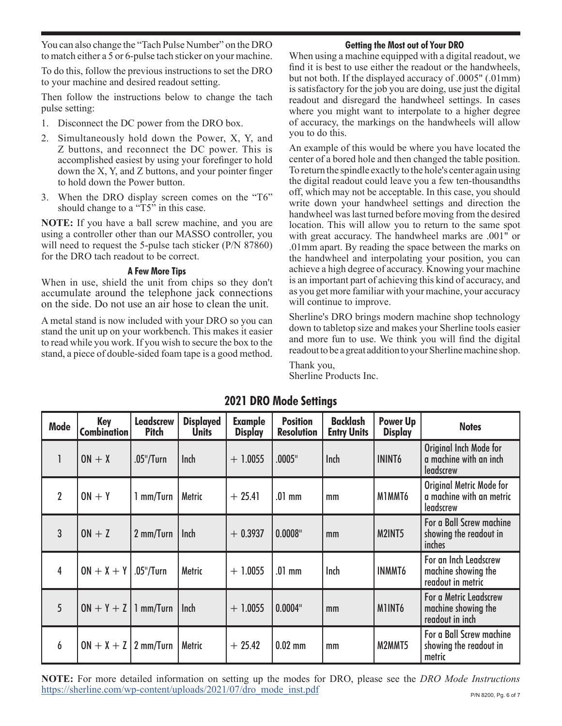You can also change the "Tach Pulse Number" on the DRO to match either a 5 or 6-pulse tach sticker on your machine. **Getting the Most out of Your DRO**

To do this, follow the previous instructions to set the DRO to your machine and desired readout setting.

Then follow the instructions below to change the tach pulse setting:

- 1. Disconnect the DC power from the DRO box.
- 2. Simultaneously hold down the Power, X, Y, and Z buttons, and reconnect the DC power. This is accomplished easiest by using your forefinger to hold down the X, Y, and Z buttons, and your pointer finger to hold down the Power button.
- 3. When the DRO display screen comes on the "T6" should change to a "T5" in this case.

**NOTE:** If you have a ball screw machine, and you are using a controller other than our MASSO controller, you will need to request the 5-pulse tach sticker (P/N 87860) for the DRO tach readout to be correct.

## **A Few More Tips**

When in use, shield the unit from chips so they don't accumulate around the telephone jack connections on the side. Do not use an air hose to clean the unit.

A metal stand is now included with your DRO so you can stand the unit up on your workbench. This makes it easier to read while you work. If you wish to secure the box to the stand, a piece of double-sided foam tape is a good method.

When using a machine equipped with a digital readout, we find it is best to use either the readout or the handwheels, but not both. If the displayed accuracy of .0005" (.01mm) is satisfactory for the job you are doing, use just the digital readout and disregard the handwheel settings. In cases where you might want to interpolate to a higher degree of accuracy, the markings on the handwheels will allow you to do this.

An example of this would be where you have located the center of a bored hole and then changed the table position. To return the spindle exactly to the hole's center again using the digital readout could leave you a few ten-thousandths off, which may not be acceptable. In this case, you should write down your handwheel settings and direction the handwheel was last turned before moving from the desired location. This will allow you to return to the same spot with great accuracy. The handwheel marks are .001" or .01mm apart. By reading the space between the marks on the handwheel and interpolating your position, you can achieve a high degree of accuracy. Knowing your machine is an important part of achieving this kind of accuracy, and as you get more familiar with your machine, your accuracy will continue to improve.

Sherline's DRO brings modern machine shop technology down to tabletop size and makes your Sherline tools easier and more fun to use. We think you will find the digital readout to be a great addition to your Sherline machine shop.

Thank you, Sherline Products Inc.

| <b>Mode</b>    | Key<br><b>Combination</b> | <b>Leadscrew</b><br><b>Pitch</b> | <b>Displayed</b><br><b>Units</b> | <b>Example</b><br><b>Display</b> | <b>Position</b><br><b>Resolution</b> | <b>Backlash</b><br><b>Entry Units</b> | <b>Power Up</b><br><b>Display</b> | <b>Notes</b>                                                        |
|----------------|---------------------------|----------------------------------|----------------------------------|----------------------------------|--------------------------------------|---------------------------------------|-----------------------------------|---------------------------------------------------------------------|
| 1              | $ON + X$                  | $.05$ "/Turn                     | <b>Inch</b>                      | $+ 1.0055$                       | .0005"                               | <b>Inch</b>                           | <b>ININT6</b>                     | Original Inch Mode for<br>a machine with an inch<br>leadscrew       |
| $\overline{2}$ | $ON + Y$                  | 1 mm/Turn                        | Metric                           | $+25.41$                         | $.01$ mm                             | mm                                    | M1MMT6                            | Original Metric Mode for<br>a machine with an metric<br>leadscrew   |
| 3              | $ON + Z$                  | 2 mm/Turn                        | <b>Inch</b>                      | $+0.3937$                        | $0.0008$ "                           | mm                                    | M2INT5                            | For a Ball Screw machine<br>showing the readout in<br><i>inches</i> |
| 4              | $ON + X + Y$ .05"/Turn    |                                  | <b>Metric</b>                    | $+ 1.0055$                       | $.01$ mm                             | Inch                                  | <b>INMMT6</b>                     | For an Inch Leadscrew<br>machine showing the<br>readout in metric   |
| 5              | $ON + Y + Z$   1 mm/Turn  |                                  | Inch                             | $+ 1.0055$                       | 0.0004"                              | mm                                    | MIINT6                            | For a Metric Leadscrew<br>machine showing the<br>readout in inch    |
| 6              | $ON + X + Z$ 2 mm/Turn    |                                  | Metric                           | $+25.42$                         | $0.02$ mm                            | mm                                    | M2MMT5                            | For a Ball Screw machine<br>showing the readout in<br>metric        |

## **2021 DRO Mode Settings**

**NOTE:** For more detailed information on setting up the modes for DRO, please see the *DRO Mode Instructions* [https://sherline.com/wp-content/uploads/2021/07/dro\\_mode\\_inst.pdf](https://sherline.com/wp-content/uploads/2021/07/dro_mode_inst.pdf)